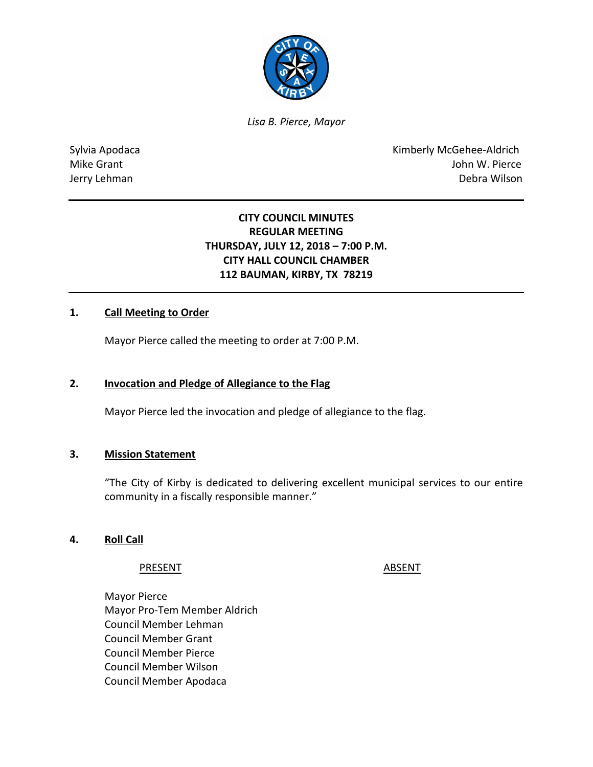

*Lisa B. Pierce, Mayor* 

Sylvia Apodaca **Kimberly McGehee-Aldrich** Mike Grant **Mike Grant** John W. Pierce Jerry Lehman Debra Wilson

# **CITY COUNCIL MINUTES REGULAR MEETING THURSDAY, JULY 12, 2018 – 7:00 P.M. CITY HALL COUNCIL CHAMBER 112 BAUMAN, KIRBY, TX 78219**

## **1. Call Meeting to Order**

Mayor Pierce called the meeting to order at 7:00 P.M.

### **2. Invocation and Pledge of Allegiance to the Flag**

Mayor Pierce led the invocation and pledge of allegiance to the flag.

#### **3. Mission Statement**

"The City of Kirby is dedicated to delivering excellent municipal services to our entire community in a fiscally responsible manner."

#### **4. Roll Call**

#### PRESENT ABSENT

Mayor Pierce Mayor Pro-Tem Member Aldrich Council Member Lehman Council Member Grant Council Member Pierce Council Member Wilson Council Member Apodaca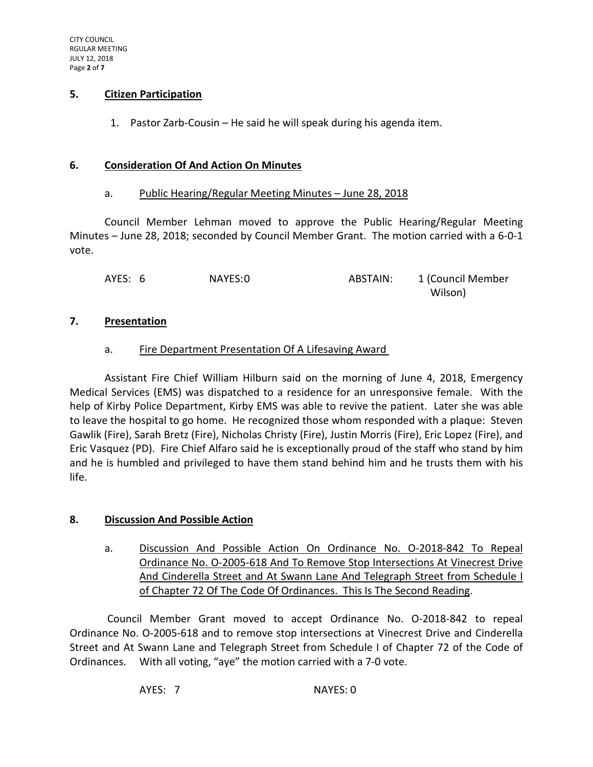### **5. Citizen Participation**

1. Pastor Zarb-Cousin – He said he will speak during his agenda item.

#### **6. Consideration Of And Action On Minutes**

#### a. Public Hearing/Regular Meeting Minutes – June 28, 2018

Council Member Lehman moved to approve the Public Hearing/Regular Meeting Minutes – June 28, 2018; seconded by Council Member Grant. The motion carried with a 6-0-1 vote.

AYES: 6 NAYES:0 ABSTAIN: 1 (Council Member wilson) and the contract of the contract of the contract of the contract of the contract of the contract of th

#### **7. Presentation**

### a. Fire Department Presentation Of A Lifesaving Award

Assistant Fire Chief William Hilburn said on the morning of June 4, 2018, Emergency Medical Services (EMS) was dispatched to a residence for an unresponsive female. With the help of Kirby Police Department, Kirby EMS was able to revive the patient. Later she was able to leave the hospital to go home. He recognized those whom responded with a plaque: Steven Gawlik (Fire), Sarah Bretz (Fire), Nicholas Christy (Fire), Justin Morris (Fire), Eric Lopez (Fire), and Eric Vasquez (PD). Fire Chief Alfaro said he is exceptionally proud of the staff who stand by him and he is humbled and privileged to have them stand behind him and he trusts them with his life.

### **8. Discussion And Possible Action**

a. Discussion And Possible Action On Ordinance No. O-2018-842 To Repeal Ordinance No. O-2005-618 And To Remove Stop Intersections At Vinecrest Drive And Cinderella Street and At Swann Lane And Telegraph Street from Schedule I of Chapter 72 Of The Code Of Ordinances. This Is The Second Reading.

Council Member Grant moved to accept Ordinance No. O-2018-842 to repeal Ordinance No. O-2005-618 and to remove stop intersections at Vinecrest Drive and Cinderella Street and At Swann Lane and Telegraph Street from Schedule I of Chapter 72 of the Code of Ordinances. With all voting, "aye" the motion carried with a 7-0 vote.

AYES: 7 NAYES: 0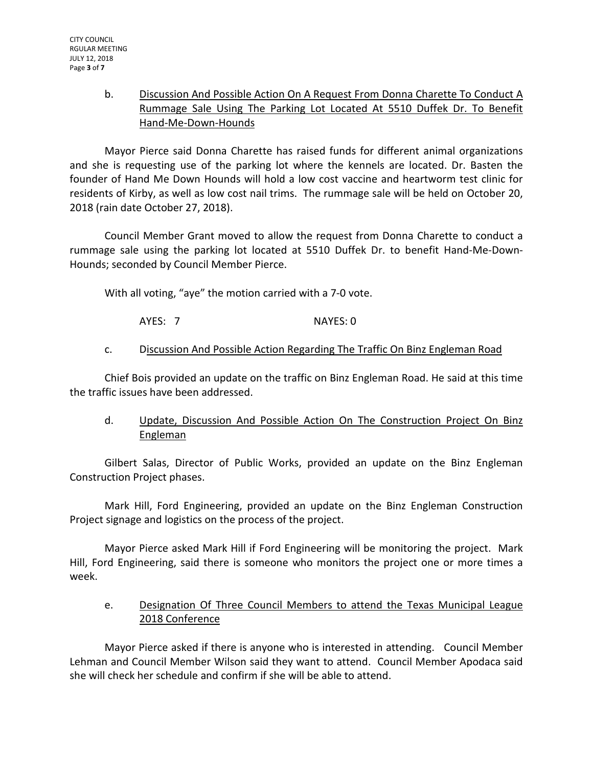## b. Discussion And Possible Action On A Request From Donna Charette To Conduct A Rummage Sale Using The Parking Lot Located At 5510 Duffek Dr. To Benefit Hand-Me-Down-Hounds

Mayor Pierce said Donna Charette has raised funds for different animal organizations and she is requesting use of the parking lot where the kennels are located. Dr. Basten the founder of Hand Me Down Hounds will hold a low cost vaccine and heartworm test clinic for residents of Kirby, as well as low cost nail trims. The rummage sale will be held on October 20, 2018 (rain date October 27, 2018).

Council Member Grant moved to allow the request from Donna Charette to conduct a rummage sale using the parking lot located at 5510 Duffek Dr. to benefit Hand-Me-Down-Hounds; seconded by Council Member Pierce.

With all voting, "aye" the motion carried with a 7-0 vote.

AYES: 7 NAYES: 0

## c. Discussion And Possible Action Regarding The Traffic On Binz Engleman Road

Chief Bois provided an update on the traffic on Binz Engleman Road. He said at this time the traffic issues have been addressed.

# d. Update, Discussion And Possible Action On The Construction Project On Binz Engleman

Gilbert Salas, Director of Public Works, provided an update on the Binz Engleman Construction Project phases.

Mark Hill, Ford Engineering, provided an update on the Binz Engleman Construction Project signage and logistics on the process of the project.

Mayor Pierce asked Mark Hill if Ford Engineering will be monitoring the project. Mark Hill, Ford Engineering, said there is someone who monitors the project one or more times a week.

# e. Designation Of Three Council Members to attend the Texas Municipal League 2018 Conference

Mayor Pierce asked if there is anyone who is interested in attending. Council Member Lehman and Council Member Wilson said they want to attend. Council Member Apodaca said she will check her schedule and confirm if she will be able to attend.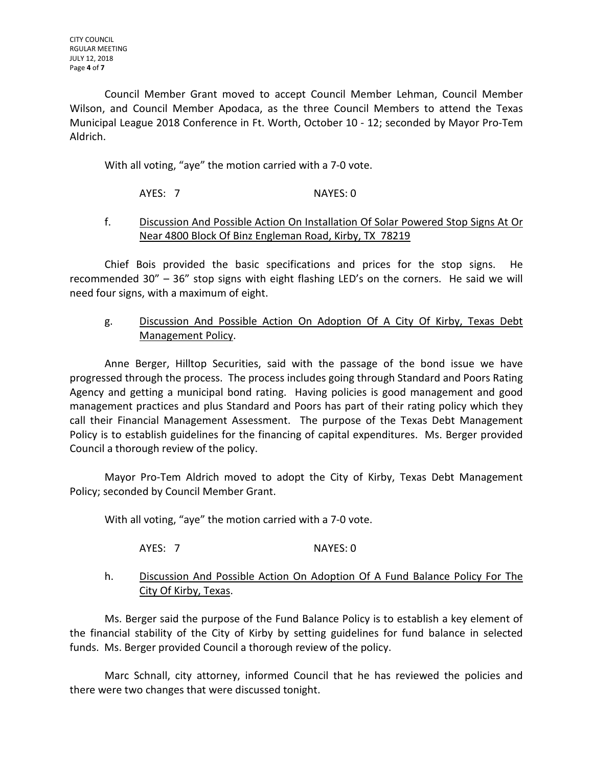Council Member Grant moved to accept Council Member Lehman, Council Member Wilson, and Council Member Apodaca, as the three Council Members to attend the Texas Municipal League 2018 Conference in Ft. Worth, October 10 - 12; seconded by Mayor Pro-Tem Aldrich.

With all voting, "aye" the motion carried with a 7-0 vote.

## AYES: 7 NAYES: 0

### f. Discussion And Possible Action On Installation Of Solar Powered Stop Signs At Or Near 4800 Block Of Binz Engleman Road, Kirby, TX 78219

Chief Bois provided the basic specifications and prices for the stop signs. He recommended 30" – 36" stop signs with eight flashing LED's on the corners. He said we will need four signs, with a maximum of eight.

## g. Discussion And Possible Action On Adoption Of A City Of Kirby, Texas Debt Management Policy.

Anne Berger, Hilltop Securities, said with the passage of the bond issue we have progressed through the process. The process includes going through Standard and Poors Rating Agency and getting a municipal bond rating. Having policies is good management and good management practices and plus Standard and Poors has part of their rating policy which they call their Financial Management Assessment. The purpose of the Texas Debt Management Policy is to establish guidelines for the financing of capital expenditures. Ms. Berger provided Council a thorough review of the policy.

Mayor Pro-Tem Aldrich moved to adopt the City of Kirby, Texas Debt Management Policy; seconded by Council Member Grant.

With all voting, "aye" the motion carried with a 7-0 vote.

AYES: 7 NAYES: 0

### h. Discussion And Possible Action On Adoption Of A Fund Balance Policy For The City Of Kirby, Texas.

Ms. Berger said the purpose of the Fund Balance Policy is to establish a key element of the financial stability of the City of Kirby by setting guidelines for fund balance in selected funds. Ms. Berger provided Council a thorough review of the policy.

Marc Schnall, city attorney, informed Council that he has reviewed the policies and there were two changes that were discussed tonight.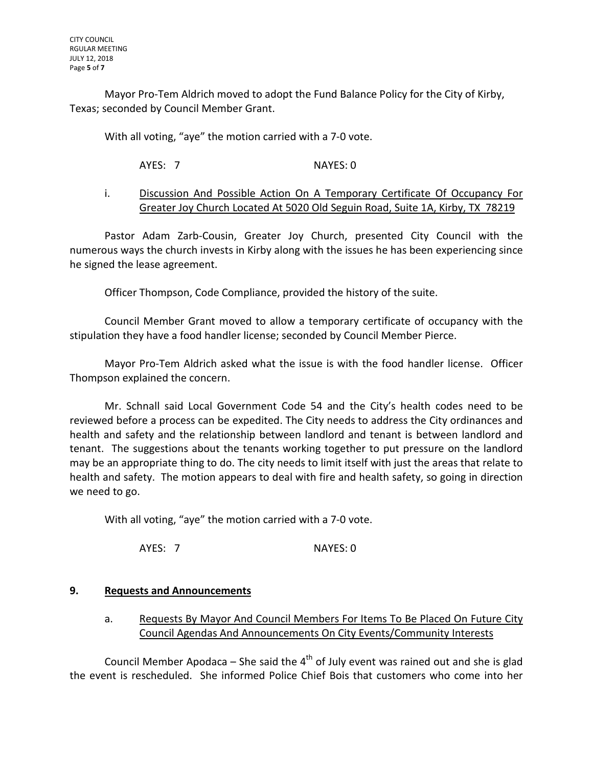Mayor Pro-Tem Aldrich moved to adopt the Fund Balance Policy for the City of Kirby, Texas; seconded by Council Member Grant.

With all voting, "aye" the motion carried with a 7-0 vote.

AYES: 7 NAYES: 0

### i. Discussion And Possible Action On A Temporary Certificate Of Occupancy For Greater Joy Church Located At 5020 Old Seguin Road, Suite 1A, Kirby, TX 78219

Pastor Adam Zarb-Cousin, Greater Joy Church, presented City Council with the numerous ways the church invests in Kirby along with the issues he has been experiencing since he signed the lease agreement.

Officer Thompson, Code Compliance, provided the history of the suite.

Council Member Grant moved to allow a temporary certificate of occupancy with the stipulation they have a food handler license; seconded by Council Member Pierce.

Mayor Pro-Tem Aldrich asked what the issue is with the food handler license. Officer Thompson explained the concern.

Mr. Schnall said Local Government Code 54 and the City's health codes need to be reviewed before a process can be expedited. The City needs to address the City ordinances and health and safety and the relationship between landlord and tenant is between landlord and tenant. The suggestions about the tenants working together to put pressure on the landlord may be an appropriate thing to do. The city needs to limit itself with just the areas that relate to health and safety. The motion appears to deal with fire and health safety, so going in direction we need to go.

With all voting, "aye" the motion carried with a 7-0 vote.

AYES: 7 NAYES: 0

### **9. Requests and Announcements**

a. Requests By Mayor And Council Members For Items To Be Placed On Future City Council Agendas And Announcements On City Events/Community Interests

Council Member Apodaca – She said the  $4<sup>th</sup>$  of July event was rained out and she is glad the event is rescheduled. She informed Police Chief Bois that customers who come into her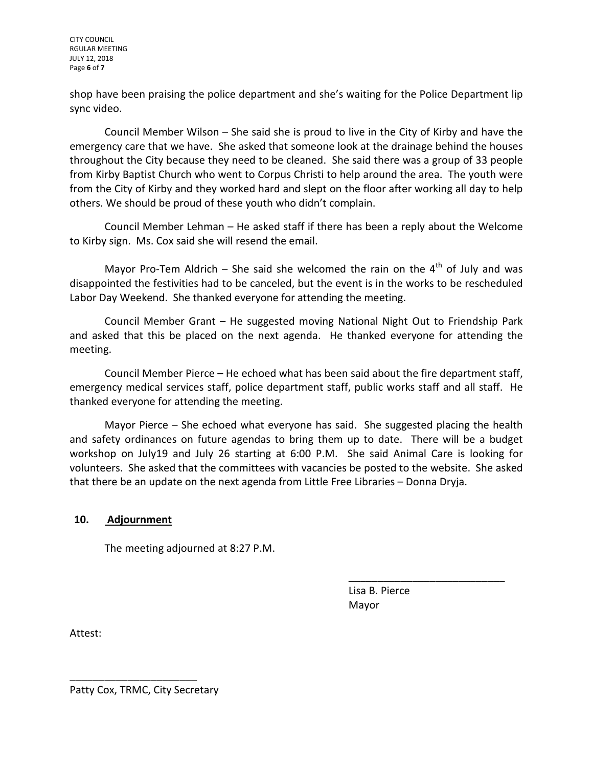CITY COUNCIL RGULAR MEETING JULY 12, 2018 Page **6** of **7**

shop have been praising the police department and she's waiting for the Police Department lip sync video.

Council Member Wilson – She said she is proud to live in the City of Kirby and have the emergency care that we have. She asked that someone look at the drainage behind the houses throughout the City because they need to be cleaned. She said there was a group of 33 people from Kirby Baptist Church who went to Corpus Christi to help around the area. The youth were from the City of Kirby and they worked hard and slept on the floor after working all day to help others. We should be proud of these youth who didn't complain.

Council Member Lehman – He asked staff if there has been a reply about the Welcome to Kirby sign. Ms. Cox said she will resend the email.

Mayor Pro-Tem Aldrich – She said she welcomed the rain on the  $4<sup>th</sup>$  of July and was disappointed the festivities had to be canceled, but the event is in the works to be rescheduled Labor Day Weekend. She thanked everyone for attending the meeting.

Council Member Grant – He suggested moving National Night Out to Friendship Park and asked that this be placed on the next agenda. He thanked everyone for attending the meeting.

Council Member Pierce – He echoed what has been said about the fire department staff, emergency medical services staff, police department staff, public works staff and all staff. He thanked everyone for attending the meeting.

Mayor Pierce – She echoed what everyone has said. She suggested placing the health and safety ordinances on future agendas to bring them up to date. There will be a budget workshop on July19 and July 26 starting at 6:00 P.M. She said Animal Care is looking for volunteers. She asked that the committees with vacancies be posted to the website. She asked that there be an update on the next agenda from Little Free Libraries – Donna Dryja.

### **10. Adjournment**

The meeting adjourned at 8:27 P.M.

 Lisa B. Pierce Mayor

\_\_\_\_\_\_\_\_\_\_\_\_\_\_\_\_\_\_\_\_\_\_\_\_\_\_\_

Attest:

Patty Cox, TRMC, City Secretary

\_\_\_\_\_\_\_\_\_\_\_\_\_\_\_\_\_\_\_\_\_\_